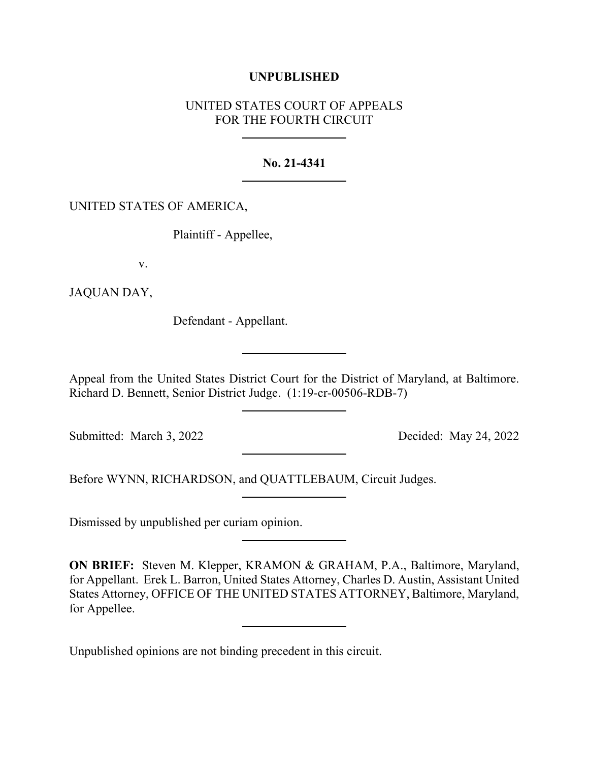# **UNPUBLISHED**

# UNITED STATES COURT OF APPEALS FOR THE FOURTH CIRCUIT

### **No. 21-4341**

# UNITED STATES OF AMERICA,

Plaintiff - Appellee,

v.

JAQUAN DAY,

Defendant - Appellant.

Appeal from the United States District Court for the District of Maryland, at Baltimore. Richard D. Bennett, Senior District Judge. (1:19-cr-00506-RDB-7)

Submitted: March 3, 2022 Decided: May 24, 2022

Before WYNN, RICHARDSON, and QUATTLEBAUM, Circuit Judges.

Dismissed by unpublished per curiam opinion.

**ON BRIEF:** Steven M. Klepper, KRAMON & GRAHAM, P.A., Baltimore, Maryland, for Appellant. Erek L. Barron, United States Attorney, Charles D. Austin, Assistant United States Attorney, OFFICE OF THE UNITED STATES ATTORNEY, Baltimore, Maryland, for Appellee.

Unpublished opinions are not binding precedent in this circuit.